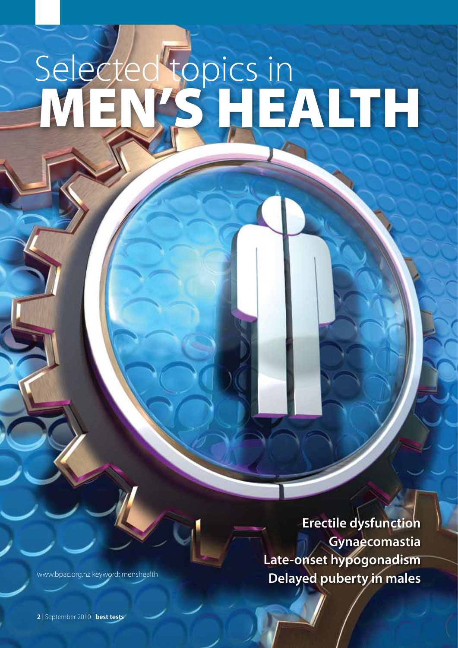# Selected topics in MEN'S HEALTH

**Erectile dysfunction Gynaecomastia Late-onset hypogonadism Delayed puberty in males**

www.bpac.org.nz keyword: menshealth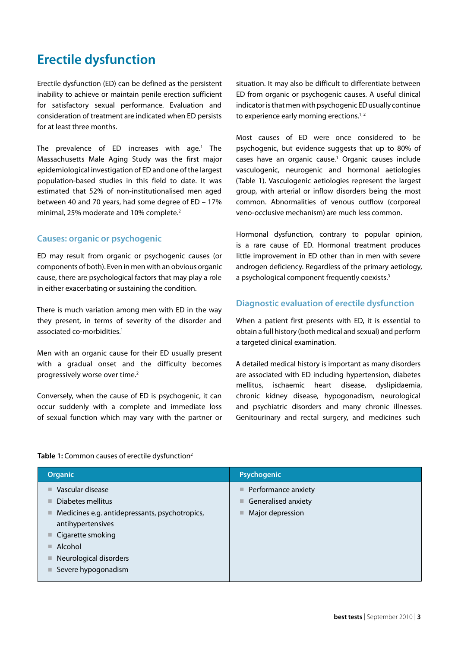# **Erectile dysfunction**

Erectile dysfunction (ED) can be defined as the persistent inability to achieve or maintain penile erection sufficient for satisfactory sexual performance. Evaluation and consideration of treatment are indicated when ED persists for at least three months.

The prevalence of ED increases with age.<sup>1</sup> The Massachusetts Male Aging Study was the first major epidemiological investigation of ED and one of the largest population-based studies in this field to date. It was estimated that 52% of non-institutionalised men aged between 40 and 70 years, had some degree of ED – 17% minimal, 25% moderate and 10% complete.2

#### **Causes: organic or psychogenic**

ED may result from organic or psychogenic causes (or components of both). Even in men with an obvious organic cause, there are psychological factors that may play a role in either exacerbating or sustaining the condition.

There is much variation among men with ED in the way they present, in terms of severity of the disorder and associated co-morbidities.1

Men with an organic cause for their ED usually present with a gradual onset and the difficulty becomes progressively worse over time.<sup>2</sup>

Conversely, when the cause of ED is psychogenic, it can occur suddenly with a complete and immediate loss of sexual function which may vary with the partner or situation. It may also be difficult to differentiate between ED from organic or psychogenic causes. A useful clinical indicator is that men with psychogenic ED usually continue to experience early morning erections.<sup>1,2</sup>

Most causes of ED were once considered to be psychogenic, but evidence suggests that up to 80% of cases have an organic cause.<sup>1</sup> Organic causes include vasculogenic, neurogenic and hormonal aetiologies (Table 1). Vasculogenic aetiologies represent the largest group, with arterial or inflow disorders being the most common. Abnormalities of venous outflow (corporeal veno-occlusive mechanism) are much less common.

Hormonal dysfunction, contrary to popular opinion, is a rare cause of ED. Hormonal treatment produces little improvement in ED other than in men with severe androgen deficiency. Regardless of the primary aetiology, a psychological component frequently coexists.<sup>3</sup>

#### **Diagnostic evaluation of erectile dysfunction**

When a patient first presents with ED, it is essential to obtain a full history (both medical and sexual) and perform a targeted clinical examination.

A detailed medical history is important as many disorders are associated with ED including hypertension, diabetes mellitus, ischaemic heart disease, dyslipidaemia, chronic kidney disease, hypogonadism, neurological and psychiatric disorders and many chronic illnesses. Genitourinary and rectal surgery, and medicines such

| <b>Organic</b>                                      | Psychogenic              |
|-----------------------------------------------------|--------------------------|
| Vascular disease<br>п                               | Performance anxiety<br>ш |
| Diabetes mellitus<br>п                              | Generalised anxiety<br>ш |
| Medicines e.g. antidepressants, psychotropics,<br>п | Major depression         |
| antihypertensives                                   |                          |
| Cigarette smoking<br>п                              |                          |
| Alcohol<br>п                                        |                          |
| Neurological disorders<br>п                         |                          |
| Severe hypogonadism<br>п                            |                          |
|                                                     |                          |

#### Table 1: Common causes of erectile dysfunction<sup>2</sup>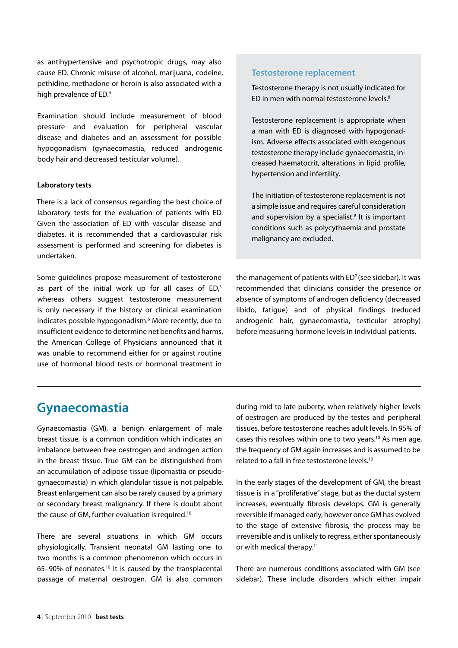as antihypertensive and psychotropic drugs, may also cause ED. Chronic misuse of alcohol, marijuana, codeine, pethidine, methadone or heroin is also associated with a high prevalence of ED.4

Examination should include measurement of blood pressure and evaluation for peripheral vascular disease and diabetes and an assessment for possible hypogonadism (gynaecomastia, reduced androgenic body hair and decreased testicular volume).

#### **Laboratory tests**

There is a lack of consensus regarding the best choice of laboratory tests for the evaluation of patients with ED. Given the association of ED with vascular disease and diabetes, it is recommended that a cardiovascular risk assessment is performed and screening for diabetes is undertaken.

Some guidelines propose measurement of testosterone as part of the initial work up for all cases of  $ED_i^5$ whereas others suggest testosterone measurement is only necessary if the history or clinical examination indicates possible hypogonadism.6 More recently, due to insufficient evidence to determine net benefits and harms, the American College of Physicians announced that it was unable to recommend either for or against routine use of hormonal blood tests or hormonal treatment in

#### **Testosterone replacement**

Testosterone therapy is not usually indicated for ED in men with normal testosterone levels.8

Testosterone replacement is appropriate when a man with ED is diagnosed with hypogonadism. Adverse effects associated with exogenous testosterone therapy include gynaecomastia, increased haematocrit, alterations in lipid profile, hypertension and infertility.

The initiation of testosterone replacement is not a simple issue and requires careful consideration and supervision by a specialist.<sup>9</sup> It is important conditions such as polycythaemia and prostate malignancy are excluded.

the management of patients with  $ED<sup>7</sup>$  (see sidebar). It was recommended that clinicians consider the presence or absence of symptoms of androgen deficiency (decreased libido, fatigue) and of physical findings (reduced androgenic hair, gynaecomastia, testicular atrophy) before measuring hormone levels in individual patients.

## **Gynaecomastia**

Gynaecomastia (GM), a benign enlargement of male breast tissue, is a common condition which indicates an imbalance between free oestrogen and androgen action in the breast tissue. True GM can be distinguished from an accumulation of adipose tissue (lipomastia or pseudogynaecomastia) in which glandular tissue is not palpable. Breast enlargement can also be rarely caused by a primary or secondary breast malignancy. If there is doubt about the cause of GM, further evaluation is required.<sup>10</sup>

There are several situations in which GM occurs physiologically. Transient neonatal GM lasting one to two months is a common phenomenon which occurs in 65–90% of neonates.<sup>10</sup> It is caused by the transplacental passage of maternal oestrogen. GM is also common

during mid to late puberty, when relatively higher levels of oestrogen are produced by the testes and peripheral tissues, before testosterone reaches adult levels. In 95% of cases this resolves within one to two years.<sup>10</sup> As men age, the frequency of GM again increases and is assumed to be related to a fall in free testosterone levels.<sup>10</sup>

In the early stages of the development of GM, the breast tissue is in a "proliferative" stage, but as the ductal system increases, eventually fibrosis develops. GM is generally reversible if managed early, however once GM has evolved to the stage of extensive fibrosis, the process may be irreversible and is unlikely to regress, either spontaneously or with medical therapy.<sup>11</sup>

There are numerous conditions associated with GM (see sidebar). These include disorders which either impair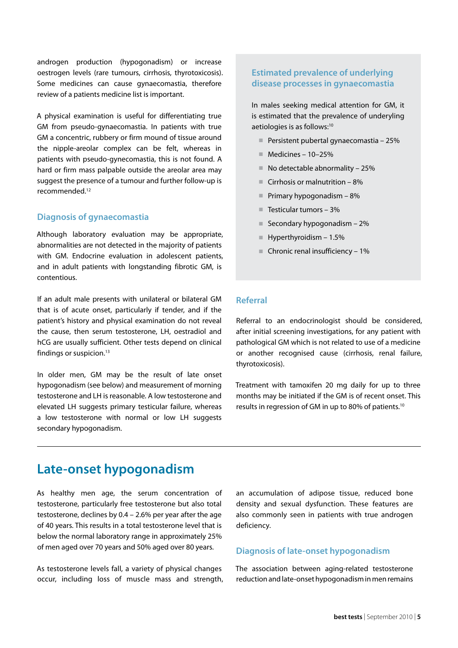androgen production (hypogonadism) or increase oestrogen levels (rare tumours, cirrhosis, thyrotoxicosis). Some medicines can cause gynaecomastia, therefore review of a patients medicine list is important.

A physical examination is useful for differentiating true GM from pseudo-gynaecomastia. In patients with true GM a concentric, rubbery or firm mound of tissue around the nipple-areolar complex can be felt, whereas in patients with pseudo-gynecomastia, this is not found. A hard or firm mass palpable outside the areolar area may suggest the presence of a tumour and further follow-up is recommended.12

#### **Diagnosis of gynaecomastia**

Although laboratory evaluation may be appropriate, abnormalities are not detected in the majority of patients with GM. Endocrine evaluation in adolescent patients, and in adult patients with longstanding fibrotic GM, is contentious.

If an adult male presents with unilateral or bilateral GM that is of acute onset, particularly if tender, and if the patient's history and physical examination do not reveal the cause, then serum testosterone, LH, oestradiol and hCG are usually sufficient. Other tests depend on clinical findings or suspicion.<sup>13</sup>

In older men, GM may be the result of late onset hypogonadism (see below) and measurement of morning testosterone and LH is reasonable. A low testosterone and elevated LH suggests primary testicular failure, whereas a low testosterone with normal or low LH suggests secondary hypogonadism.

## **Estimated prevalence of underlying disease processes in gynaecomastia**

In males seeking medical attention for GM, it is estimated that the prevalence of underyling aetiologies is as follows:10

- **■** Persistent pubertal gynaecomastia 25%
- **■** Medicines 10–25%
- No detectable abnormality 25%
- Cirrhosis or malnutrition 8%
- **■** Primary hypogonadism 8%
- **■** Testicular tumors 3%
- **■** Secondary hypogonadism 2%
- **■** Hyperthyroidism 1.5%
- Chronic renal insufficiency 1%

#### **Referral**

Referral to an endocrinologist should be considered, after initial screening investigations, for any patient with pathological GM which is not related to use of a medicine or another recognised cause (cirrhosis, renal failure, thyrotoxicosis).

Treatment with tamoxifen 20 mg daily for up to three months may be initiated if the GM is of recent onset. This results in regression of GM in up to 80% of patients.10

## **Late-onset hypogonadism**

As healthy men age, the serum concentration of testosterone, particularly free testosterone but also total testosterone, declines by 0.4 – 2.6% per year after the age of 40 years. This results in a total testosterone level that is below the normal laboratory range in approximately 25% of men aged over 70 years and 50% aged over 80 years.

As testosterone levels fall, a variety of physical changes occur, including loss of muscle mass and strength, an accumulation of adipose tissue, reduced bone density and sexual dysfunction. These features are also commonly seen in patients with true androgen deficiency.

#### **Diagnosis of late-onset hypogonadism**

The association between aging-related testosterone reduction and late-onset hypogonadism in men remains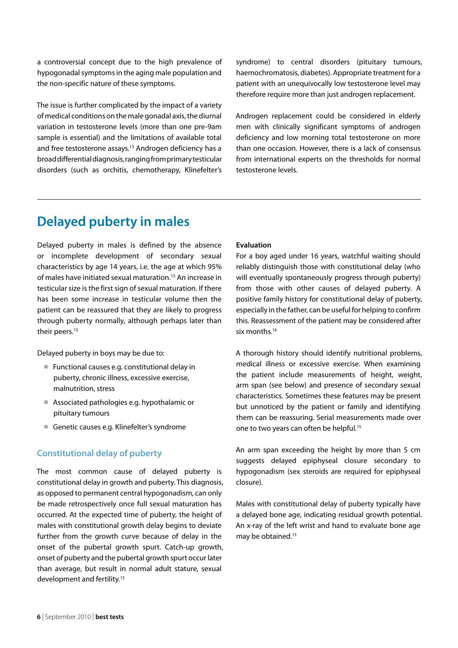a controversial concept due to the high prevalence of hypogonadal symptoms in the aging male population and the non-specific nature of these symptoms.

The issue is further complicated by the impact of a variety of medical conditions on the male gonadal axis, the diurnal variation in testosterone levels (more than one pre-9am sample is essential) and the limitations of available total and free testosterone assays.<sup>13</sup> Androgen deficiency has a broad differential diagnosis, ranging from primary testicular disorders (such as orchitis, chemotherapy, Klinefelter's

syndrome) to central disorders (pituitary tumours, haemochromatosis, diabetes). Appropriate treatment for a patient with an unequivocally low testosterone level may therefore require more than just androgen replacement.

Androgen replacement could be considered in elderly men with clinically significant symptoms of androgen deficiency and low morning total testosterone on more than one occasion. However, there is a lack of consensus from international experts on the thresholds for normal testosterone levels.

# **Delayed puberty in males**

Delayed puberty in males is defined by the absence or incomplete development of secondary sexual characteristics by age 14 years, i.e. the age at which 95% of males have initiated sexual maturation.<sup>15</sup> An increase in testicular size is the first sign of sexual maturation. If there has been some increase in testicular volume then the patient can be reassured that they are likely to progress through puberty normally, although perhaps later than their peers.<sup>15</sup>

Delayed puberty in boys may be due to:

- Functional causes e.g. constitutional delay in puberty, chronic illness, excessive exercise, malnutrition, stress
- Associated pathologies e.g. hypothalamic or pituitary tumours
- Genetic causes e.g. Klinefelter's syndrome

#### **Constitutional delay of puberty**

The most common cause of delayed puberty is constitutional delay in growth and puberty. This diagnosis, as opposed to permanent central hypogonadism, can only be made retrospectively once full sexual maturation has occurred. At the expected time of puberty, the height of males with constitutional growth delay begins to deviate further from the growth curve because of delay in the onset of the pubertal growth spurt. Catch-up growth, onset of puberty and the pubertal growth spurt occur later than average, but result in normal adult stature, sexual development and fertility.15

#### **Evaluation**

For a boy aged under 16 years, watchful waiting should reliably distinguish those with constitutional delay (who will eventually spontaneously progress through puberty) from those with other causes of delayed puberty. A positive family history for constitutional delay of puberty, especially in the father, can be useful for helping to confirm this. Reassessment of the patient may be considered after six months.16

A thorough history should identify nutritional problems, medical illness or excessive exercise. When examining the patient include measurements of height, weight, arm span (see below) and presence of secondary sexual characteristics. Sometimes these features may be present but unnoticed by the patient or family and identifying them can be reassuring. Serial measurements made over one to two years can often be helpful.<sup>15</sup>

An arm span exceeding the height by more than 5 cm suggests delayed epiphyseal closure secondary to hypogonadism (sex steroids are required for epiphyseal closure).

Males with constitutional delay of puberty typically have a delayed bone age, indicating residual growth potential. An x-ray of the left wrist and hand to evaluate bone age may be obtained.15